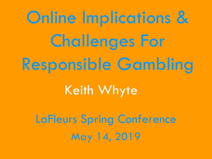Online Implications & Challenges For Responsible Gambling

## Keith Whyte

LaFleurs Spring Conference May 14, 2019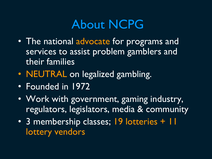#### About NCPG

- The national advocate for programs and services to assist problem gamblers and their families
- **NEUTRAL** on legalized gambling.
- Founded in 1972
- Work with government, gaming industry, regulators, legislators, media & community
- 3 membership classes; 19 lotteries + 11 lottery vendors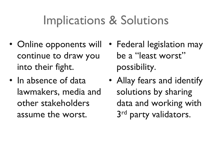## Implications & Solutions

- Online opponents will continue to draw you into their fight.
- In absence of data lawmakers, media and other stakeholders assume the worst.
- Federal legislation may be a "least worst" possibility.
- Allay fears and identify solutions by sharing data and working with 3<sup>rd</sup> party validators.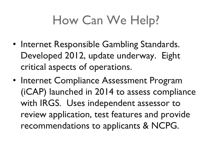# How Can We Help?

- Internet Responsible Gambling Standards. Developed 2012, update underway. Eight critical aspects of operations.
- Internet Compliance Assessment Program (iCAP) launched in 2014 to assess compliance with IRGS. Uses independent assessor to review application, test features and provide recommendations to applicants & NCPG.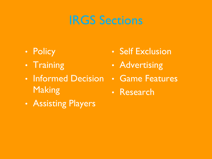### IRGS Sections

- Policy
- Training
- Informed Decision **Making**
- Assisting Players
- Self Exclusion
- Advertising
- Game Features
- Research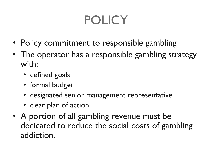# POLICY

- Policy commitment to responsible gambling
- The operator has a responsible gambling strategy with:
	- defined goals
	- formal budget
	- designated senior management representative
	- clear plan of action.
- A portion of all gambling revenue must be dedicated to reduce the social costs of gambling addiction.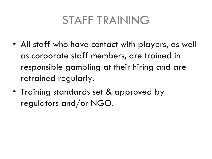#### STAFF TRAINING

- All staff who have contact with players, as well as corporate staff members, are trained in responsible gambling at their hiring and are retrained regularly.
- Training standards set & approved by regulators and/or NGO.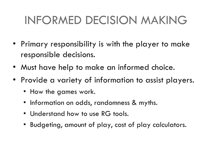### INFORMED DECISION MAKING

- Primary responsibility is with the player to make responsible decisions.
- Must have help to make an informed choice.
- Provide a variety of information to assist players.
	- How the games work.
	- Information on odds, randomness & myths.
	- Understand how to use RG tools.
	- Budgeting, amount of play, cost of play calculators.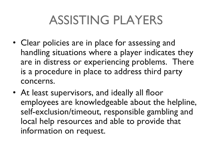# ASSISTING PLAYERS

- Clear policies are in place for assessing and handling situations where a player indicates they are in distress or experiencing problems. There is a procedure in place to address third party concerns.
- At least supervisors, and ideally all floor employees are knowledgeable about the helpline, self-exclusion/timeout, responsible gambling and local help resources and able to provide that information on request.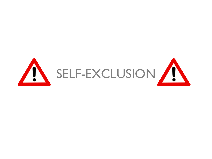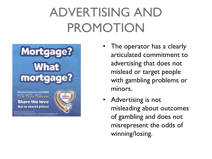# ADVERTISING AND PROMOTION



**Now two chances to win £100K' Share the love But no shared prizes!** 

Over £44 million given away in prizes.



- The operator has a clearly articulated commitment to advertising that does not mislead or target people with gambling problems or minors.
- Advertising is not misleading about outcomes of gambling and does not misrepresent the odds of winning/losing.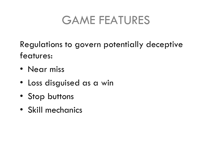#### GAME FEATURES

Regulations to govern potentially deceptive features:

- Near miss
- Loss disguised as a win
- Stop buttons
- Skill mechanics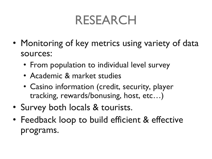## RESEARCH

- Monitoring of key metrics using variety of data sources:
	- From population to individual level survey
	- Academic & market studies
	- Casino information (credit, security, player tracking, rewards/bonusing, host, etc…)
- Survey both locals & tourists.
- Feedback loop to build efficient & effective programs.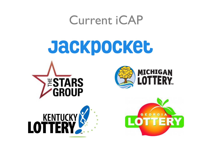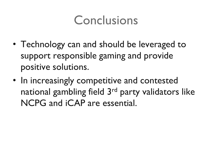### Conclusions

- Technology can and should be leveraged to support responsible gaming and provide positive solutions.
- In increasingly competitive and contested national gambling field 3<sup>rd</sup> party validators like NCPG and iCAP are essential.